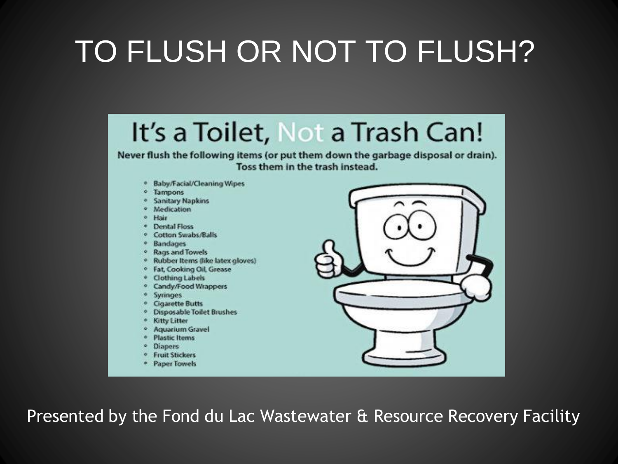#### TO FLUSH OR NOT TO FLUSH?



Presented by the Fond du Lac Wastewater & Resource Recovery Facility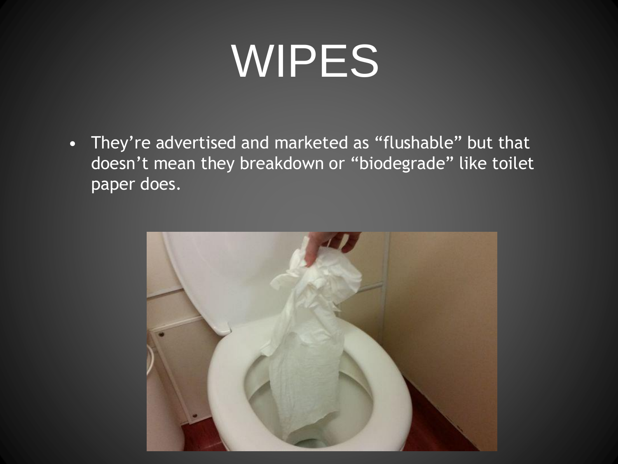## WIPES

• They're advertised and marketed as "flushable" but that doesn't mean they breakdown or "biodegrade" like toilet paper does.

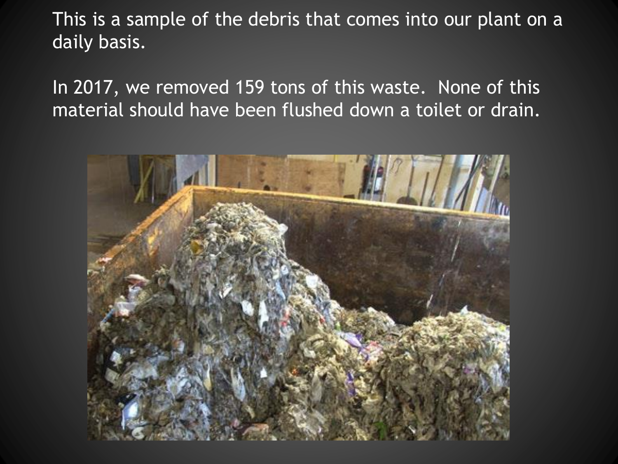This is a sample of the debris that comes into our plant on a daily basis.

In 2017, we removed 159 tons of this waste. None of this material should have been flushed down a toilet or drain.

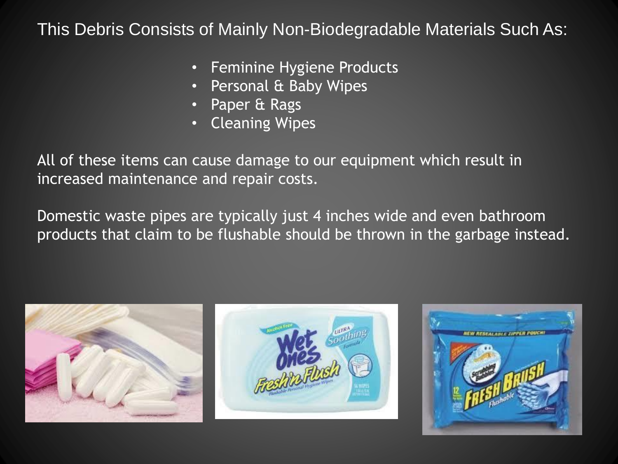#### This Debris Consists of Mainly Non-Biodegradable Materials Such As:

- Feminine Hygiene Products
- Personal & Baby Wipes
- Paper & Rags
- Cleaning Wipes

All of these items can cause damage to our equipment which result in increased maintenance and repair costs.

Domestic waste pipes are typically just 4 inches wide and even bathroom products that claim to be flushable should be thrown in the garbage instead.





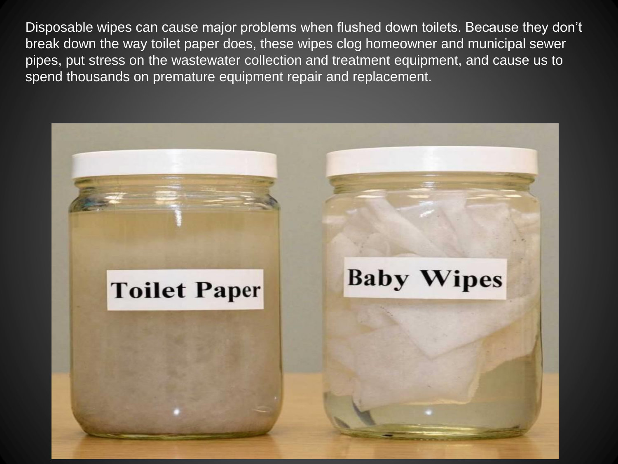Disposable wipes can cause major problems when flushed down toilets. Because they don't break down the way toilet paper does, these wipes clog homeowner and municipal sewer pipes, put stress on the wastewater collection and treatment equipment, and cause us to spend thousands on premature equipment repair and replacement.

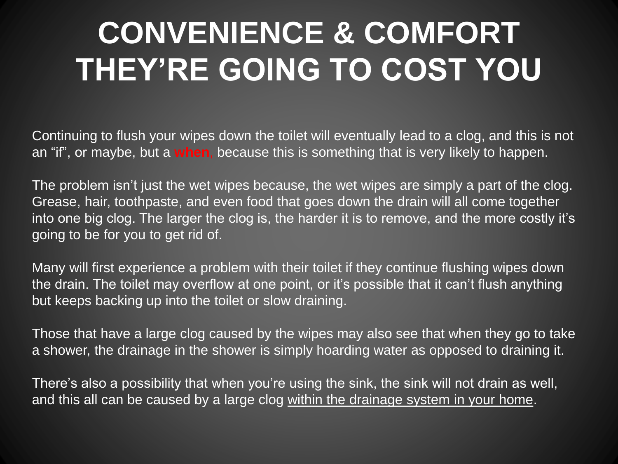### **CONVENIENCE & COMFORT THEY'RE GOING TO COST YOU**

Continuing to flush your wipes down the toilet will eventually lead to a clog, and this is not an "if", or maybe, but a **when**, because this is something that is very likely to happen.

The problem isn't just the wet wipes because, the wet wipes are simply a part of the clog. Grease, hair, toothpaste, and even food that goes down the drain will all come together into one big clog. The larger the clog is, the harder it is to remove, and the more costly it's going to be for you to get rid of.

Many will first experience a problem with their toilet if they continue flushing wipes down the drain. The toilet may overflow at one point, or it's possible that it can't flush anything but keeps backing up into the toilet or slow draining.

Those that have a large clog caused by the wipes may also see that when they go to take a shower, the drainage in the shower is simply hoarding water as opposed to draining it.

There's also a possibility that when you're using the sink, the sink will not drain as well, and this all can be caused by a large clog within the drainage system in your home.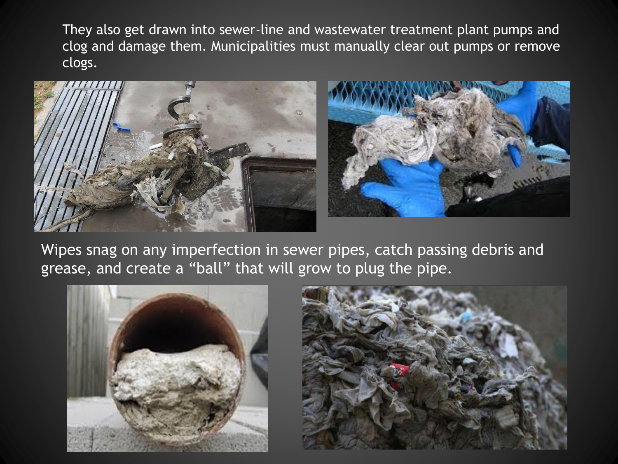They also get drawn into sewer-line and wastewater treatment plant pumps and clog and damage them. Municipalities must manually clear out pumps or remove clogs.





Wipes snag on any imperfection in sewer pipes, catch passing debris and grease, and create a "ball" that will grow to plug the pipe.



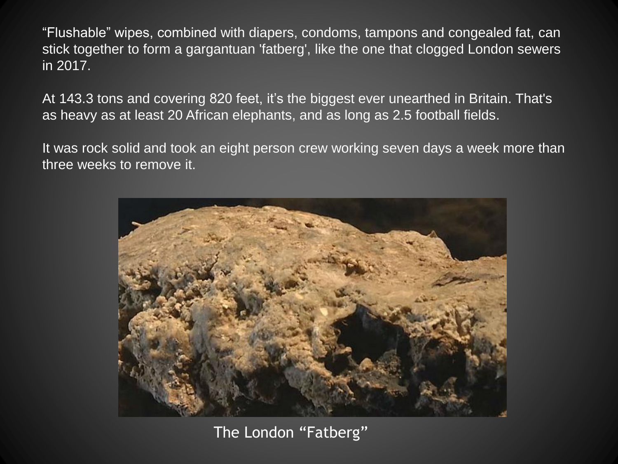"Flushable" wipes, combined with diapers, condoms, tampons and congealed fat, can stick together to form a gargantuan 'fatberg', like the one that clogged London sewers in 2017.

At 143.3 tons and covering 820 feet, it's the biggest ever unearthed in Britain. That's as heavy as at least 20 African elephants, and as long as 2.5 football fields.

It was rock solid and took an eight person crew working seven days a week more than three weeks to remove it.



The London "Fatberg"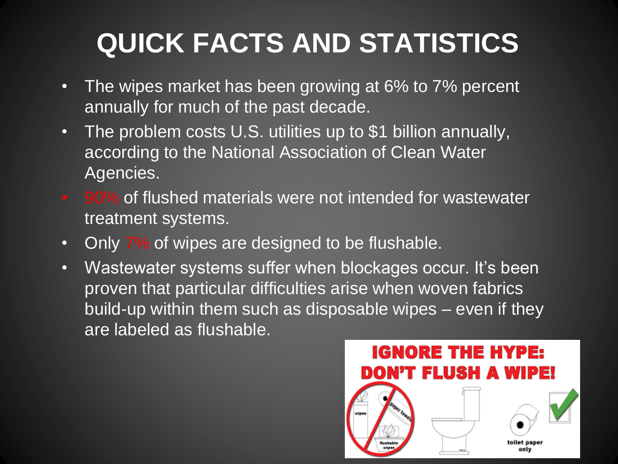#### **QUICK FACTS AND STATISTICS**

- The wipes market has been growing at 6% to 7% percent annually for much of the past decade.
- The problem costs U.S. utilities up to \$1 billion annually, according to the National Association of Clean Water Agencies.
- 90% of flushed materials were not intended for wastewater treatment systems.
- Only 7% of wipes are designed to be flushable.
- Wastewater systems suffer when blockages occur. It's been proven that particular difficulties arise when woven fabrics build-up within them such as disposable wipes – even if they are labeled as flushable.

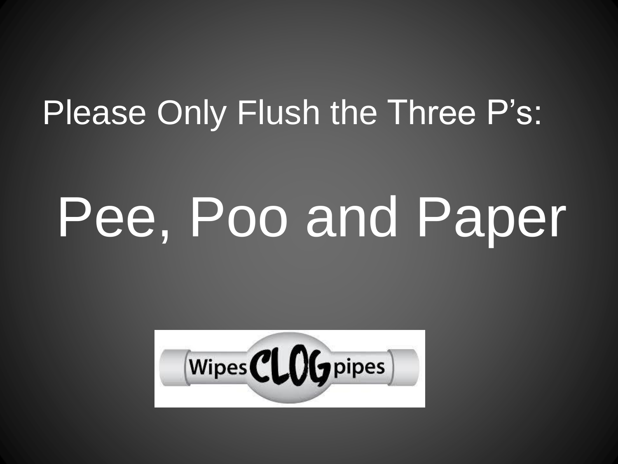### Please Only Flush the Three P's:

# Pee, Poo and Paper